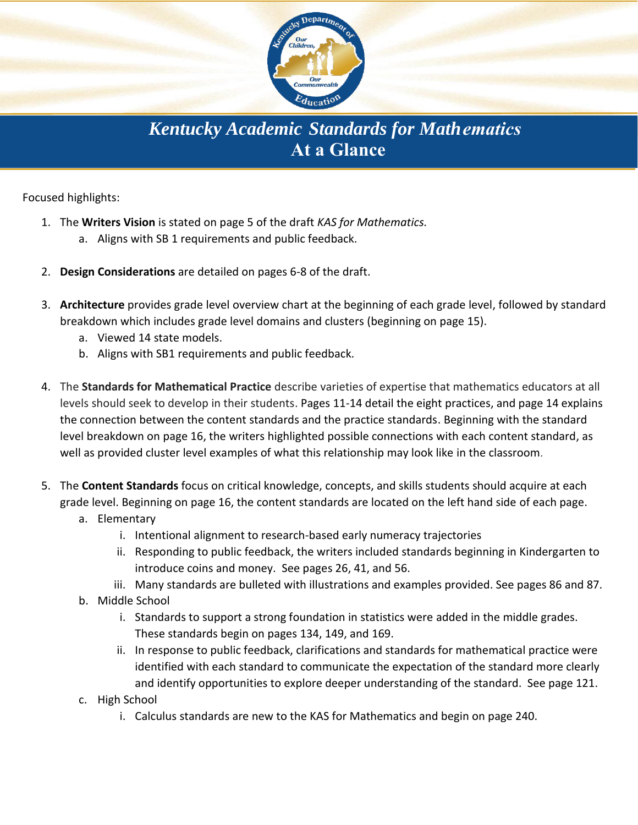

**Kentucky Academic Standards for Math ematics** At a Glance

Focused highlights:

- 1. The Writers Vision is stated on page 5 of the draft KAS for Mathematics.
	- a. Aligns with SB 1 requirements and public feedback.
- 2. Design Considerations are detailed on pages 6-8 of the draft.
- 3. Architecture provides grade level overview chart at the beginning of each grade level, followed by standard breakdown which includes grade level domains and clusters (beginning on page 15).
	- a. Viewed 14 state models.
	- b. Aligns with SB1 requirements and public feedback.
- 4. The Standards for Mathematical Practice describe varieties of expertise that mathematics educators at all levels should seek to develop in their students. Pages 11-14 detail the eight practices, and page 14 explains the connection between the content standards and the practice standards. Beginning with the standard level breakdown on page 16, the writers highlighted possible connections with each content standard, as well as provided cluster level examples of what this relationship may look like in the classroom.
- 5. The Content Standards focus on critical knowledge, concepts, and skills students should acquire at each grade level. Beginning on page 16, the content standards are located on the left hand side of each page.
	- a. Elementary
		- i. Intentional alignment to research-based early numeracy trajectories
		- ii. Responding to public feedback, the writers included standards beginning in Kindergarten to introduce coins and money. See pages 26, 41, and 56.
		- iii. Many standards are bulleted with illustrations and examples provided. See pages 86 and 87.
	- b. Middle School
		- i. Standards to support a strong foundation in statistics were added in the middle grades. These standards begin on pages 134, 149, and 169.
		- ii. In response to public feedback, clarifications and standards for mathematical practice were identified with each standard to communicate the expectation of the standard more clearly and identify opportunities to explore deeper understanding of the standard. See page 121.
	- c. High School
		- i. Calculus standards are new to the KAS for Mathematics and begin on page 240.